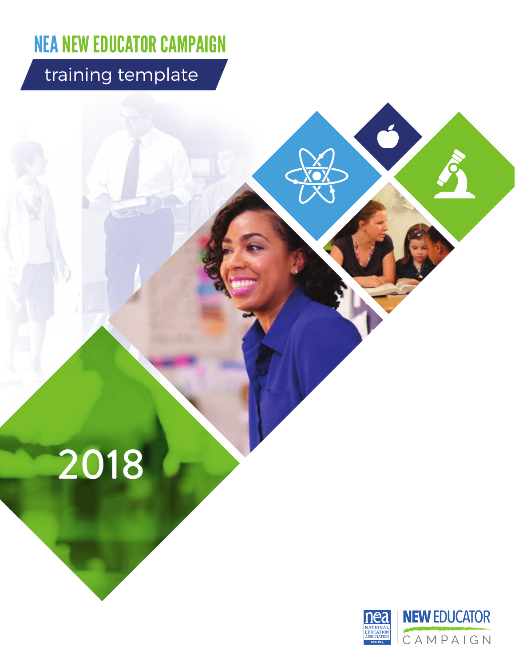# NEA NEW EDUCATOR CAMPAIGN

## training template

2018



Ć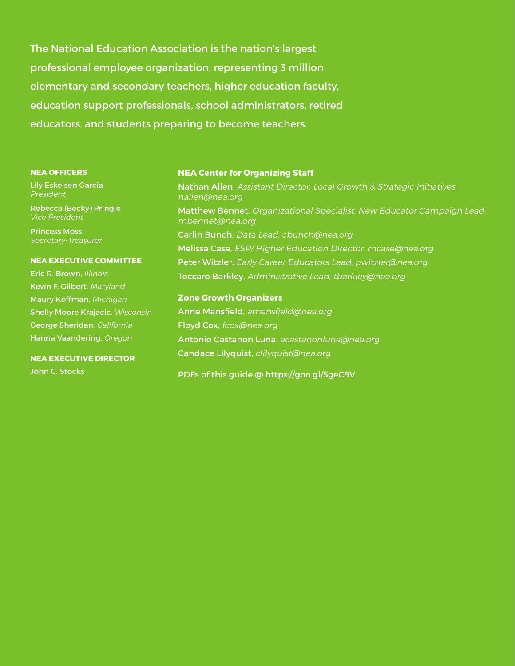The National Education Association is the nation's largest professional employee organization, representing 3 million elementary and secondary teachers, higher education faculty, education support professionals, school administrators, retired educators, and students preparing to become teachers.

#### **NEA OFFICERS**

Lily Eskelsen García President

Rebecca (Becky) Pringle Vice President

Princess Moss Secretary-Treasurer

#### **NEA EXECUTIVE COMMITTEE**

Eric R. Brown, Illinois Kevin F. Gilbert, Maryland Maury Koffman, Michigan Shelly Moore Krajacic, Wisconsin George Sheridan, California Hanna Vaandering, Oregon

#### **NEA EXECUTIVE DIRECTOR** John C. Stocks

#### **NEA Center for Organizing Staff**

Nathan Allen, Assistant Director, Local Growth & Strategic Initiatives, nallen@nea.org Matthew Bennet, Organizational Specialist, New Educator Campaign Lead, mbennet@nea.org Carlin Bunch, Data Lead, cbunch@nea.org Melissa Case, ESP/ Higher Education Director, mcase@nea.org Peter Witzler, Early Career Educators Lead, pwitzler@nea.org Toccaro Barkley, Administrative Lead, tbarkley@nea.org

**Zone Growth Organizers** Anne Mansfield, amansfield@nea.org Floyd Cox, fcox@nea.org Antonio Castanon Luna, acastanonluna@nea.org Candace Lilyquist, clilyquist@nea.org

PDFs of this guide @ https://goo.gl/5geC9V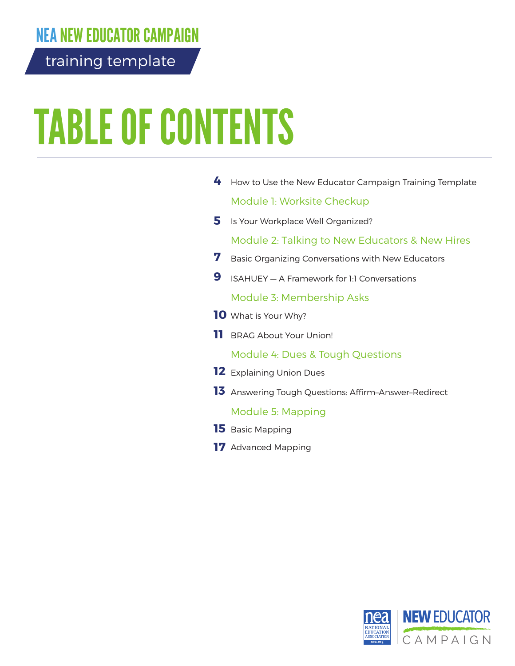## NEA NEW EDUCATOR CAMPAIGN

training template

# TABLE OF CONTENTS

| 4   | How to Use the New Educator Campaign Training Template |
|-----|--------------------------------------------------------|
|     | Module 1: Worksite Checkup                             |
| 5.  | Is Your Workplace Well Organized?                      |
|     | Module 2: Talking to New Educators & New Hires         |
| 7   | Basic Organizing Conversations with New Educators      |
| 9   | ISAHUEY - A Framework for 1:1 Conversations            |
|     | Module 3: Membership Asks                              |
|     | <b>10</b> What is Your Why?                            |
| 11. | <b>BRAG About Your Union!</b>                          |
|     | Module 4: Dues & Tough Questions                       |
|     | <b>12</b> Explaining Union Dues                        |
|     | 13 Answering Tough Questions: Affirm-Answer-Redirect   |
|     | Module 5: Mapping                                      |
|     | <b>15</b> Basic Mapping                                |
|     | <b>17</b> Advanced Mapping                             |

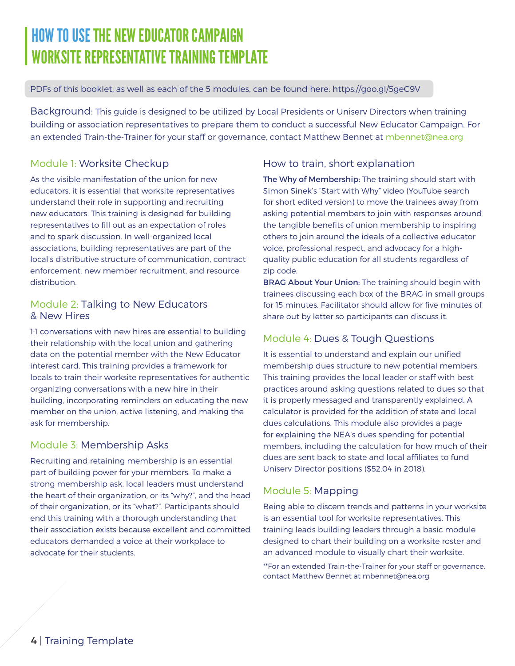## HOW TO USE THE NEW EDUCATOR CAMPAIGN WORKSITE REPRESENTATIVE TRAINING TEMPLATE

#### PDFs of this booklet, as well as each of the 5 modules, can be found here: https://goo.gl/5geC9V

Background: This guide is designed to be utilized by Local Presidents or Uniserv Directors when training building or association representatives to prepare them to conduct a successful New Educator Campaign. For an extended Train-the-Trainer for your staff or governance, contact Matthew Bennet at mbennet@nea.org

#### Module 1: Worksite Checkup

As the visible manifestation of the union for new educators, it is essential that worksite representatives understand their role in supporting and recruiting new educators. This training is designed for building representatives to fill out as an expectation of roles and to spark discussion. In well-organized local associations, building representatives are part of the local's distributive structure of communication, contract enforcement, new member recruitment, and resource distribution.

#### Module 2: Talking to New Educators & New Hires

1:1 conversations with new hires are essential to building their relationship with the local union and gathering data on the potential member with the New Educator interest card. This training provides a framework for locals to train their worksite representatives for authentic organizing conversations with a new hire in their building, incorporating reminders on educating the new member on the union, active listening, and making the ask for membership.

#### Module 3: Membership Asks

Recruiting and retaining membership is an essential part of building power for your members. To make a strong membership ask, local leaders must understand the heart of their organization, or its "why?", and the head of their organization, or its "what?". Participants should end this training with a thorough understanding that their association exists because excellent and committed educators demanded a voice at their workplace to advocate for their students.

#### How to train, short explanation

The Why of Membership: The training should start with Simon Sinek's "Start with Why" video (YouTube search for short edited version) to move the trainees away from asking potential members to join with responses around the tangible benefits of union membership to inspiring others to join around the ideals of a collective educator voice, professional respect, and advocacy for a highquality public education for all students regardless of zip code.

BRAG About Your Union: The training should begin with trainees discussing each box of the BRAG in small groups for 15 minutes. Facilitator should allow for five minutes of share out by letter so participants can discuss it.

#### Module 4: Dues & Tough Questions

It is essential to understand and explain our unified membership dues structure to new potential members. This training provides the local leader or staff with best practices around asking questions related to dues so that it is properly messaged and transparently explained. A calculator is provided for the addition of state and local dues calculations. This module also provides a page for explaining the NEA's dues spending for potential members, including the calculation for how much of their dues are sent back to state and local affiliates to fund Uniserv Director positions (\$52.04 in 2018).

#### Module 5: Mapping

Being able to discern trends and patterns in your worksite is an essential tool for worksite representatives. This training leads building leaders through a basic module designed to chart their building on a worksite roster and an advanced module to visually chart their worksite.

\*\*For an extended Train-the-Trainer for your staff or governance, contact Matthew Bennet at mbennet@nea.org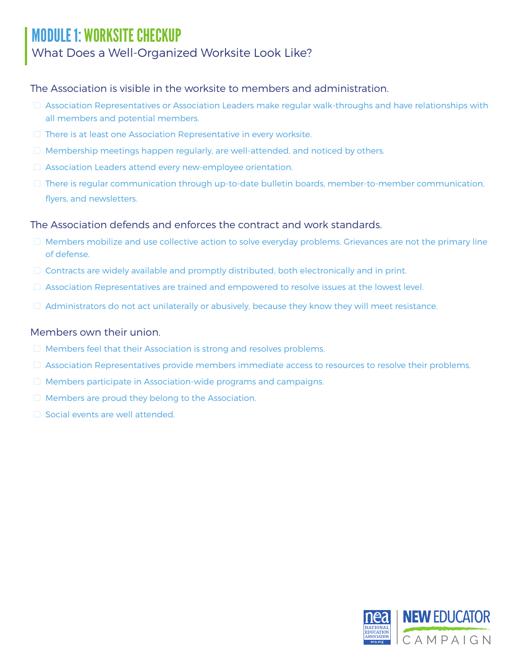## MODULE 1: WORKSITE CHECKUP

### What Does a Well-Organized Worksite Look Like?

The Association is visible in the worksite to members and administration.

- $\Box$  Association Representatives or Association Leaders make regular walk-throughs and have relationships with all members and potential members.
- **There is at least one Association Representative in every worksite.**
- $\Box$  Membership meetings happen regularly, are well-attended, and noticed by others.
- **E** Association Leaders attend every new-employee orientation.
- $\Box$  There is regular communication through up-to-date bulletin boards, member-to-member communication, flyers, and newsletters.

#### The Association defends and enforces the contract and work standards.

- □ Members mobilize and use collective action to solve everyday problems. Grievances are not the primary line of defense.
- $\Box$  Contracts are widely available and promptly distributed, both electronically and in print.
- $\Box$  Association Representatives are trained and empowered to resolve issues at the lowest level.
- $\Box$  Administrators do not act unilaterally or abusively, because they know they will meet resistance.

#### Members own their union.

- $\Box$  Members feel that their Association is strong and resolves problems.
- $\Box$  Association Representatives provide members immediate access to resources to resolve their problems.
- $\Box$  Members participate in Association-wide programs and campaigns.
- $\Box$  Members are proud they belong to the Association.
- $\Box$  Social events are well attended.

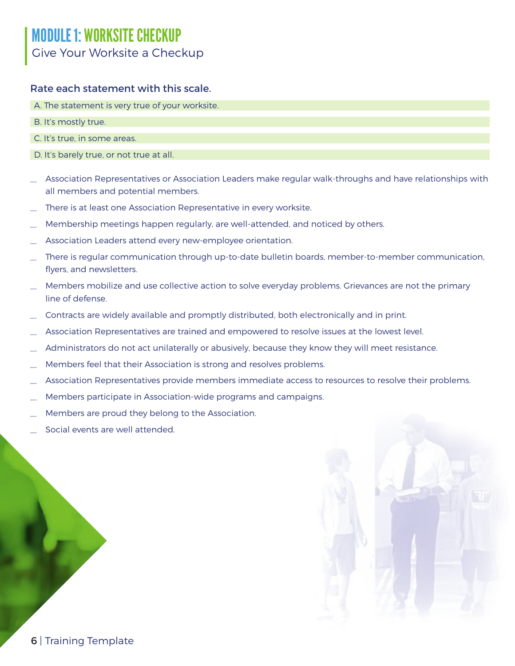## MODULE 1: WORKSITE CHECKUP Give Your Worksite a Checkup

#### Rate each statement with this scale.

- A. The statement is very true of your worksite.
- B. It's mostly true.
- C. It's true, in some areas.
- D. It's barely true, or not true at all.
- Association Representatives or Association Leaders make regular walk-throughs and have relationships with all members and potential members.
- There is at least one Association Representative in every worksite.
- Membership meetings happen regularly, are well-attended, and noticed by others.
- Association Leaders attend every new-employee orientation.
- There is regular communication through up-to-date bulletin boards, member-to-member communication, flyers, and newsletters.
- Members mobilize and use collective action to solve everyday problems. Grievances are not the primary line of defense.
- Contracts are widely available and promptly distributed, both electronically and in print.
- \_ Association Representatives are trained and empowered to resolve issues at the lowest level.
- Administrators do not act unilaterally or abusively, because they know they will meet resistance.
- Members feel that their Association is strong and resolves problems.
- Association Representatives provide members immediate access to resources to resolve their problems.
- Members participate in Association-wide programs and campaigns.
- Members are proud they belong to the Association.
- Social events are well attended.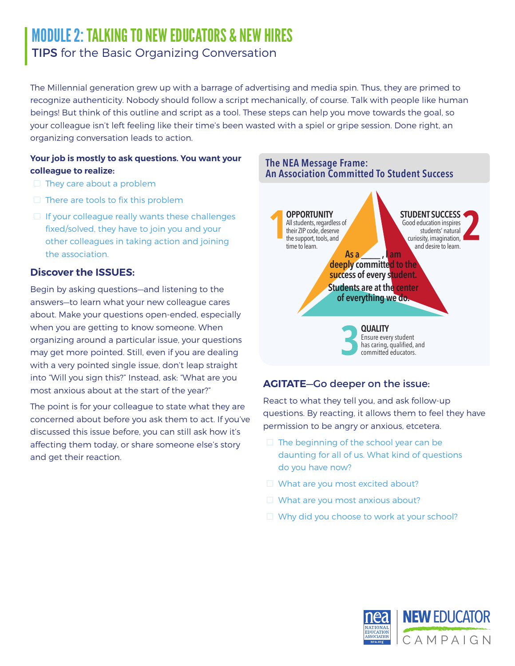## MODULE 2: TALKING TO NEW EDUCATORS & NEW HIRES TIPS for the Basic Organizing Conversation

The Millennial generation grew up with a barrage of advertising and media spin. Thus, they are primed to recognize authenticity. Nobody should follow a script mechanically, of course. Talk with people like human beings! But think of this outline and script as a tool. These steps can help you move towards the goal, so your colleague isn't left feeling like their time's been wasted with a spiel or gripe session. Done right, an organizing conversation leads to action.

#### **Your job is mostly to ask questions. You want your colleague to realize:**

- $\Box$  They care about a problem
- $\Box$  There are tools to fix this problem
- $\Box$  If your colleague really wants these challenges fixed/solved, they have to join you and your other colleagues in taking action and joining the association.

#### **Discover the ISSUES:**

Begin by asking questions—and listening to the answers—to learn what your new colleague cares about. Make your questions open-ended, especially when you are getting to know someone. When organizing around a particular issue, your questions may get more pointed. Still, even if you are dealing with a very pointed single issue, don't leap straight into "Will you sign this?" Instead, ask: "What are you most anxious about at the start of the year?"

The point is for your colleague to state what they are concerned about before you ask them to act. If you've discussed this issue before, you can still ask how it's affecting them today, or share someone else's story and get their reaction.



#### **AGITATE**—Go deeper on the issue:

React to what they tell you, and ask follow-up questions. By reacting, it allows them to feel they have permission to be angry or anxious, etcetera.

- $\Box$  The beginning of the school year can be daunting for all of us. What kind of questions do you have now?
- $\Box$  What are you most excited about?
- $\Box$  What are you most anxious about?
- $\Box$  Why did you choose to work at your school?

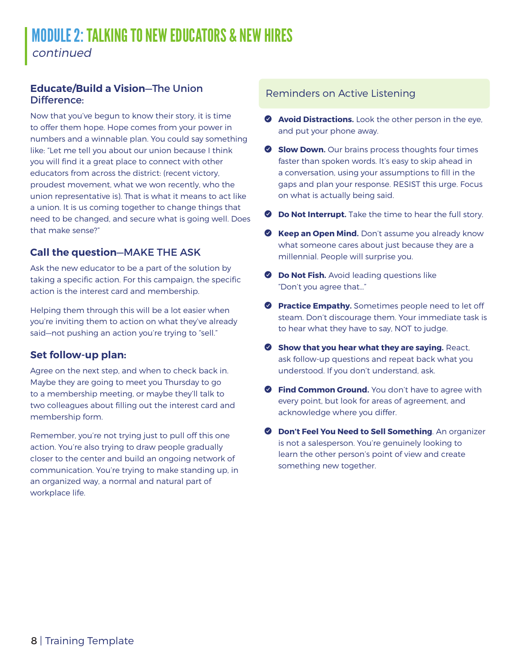## MODULE 2: TALKING TO NEW EDUCATORS & NEW HIRES continued

#### **Educate/Build a Vision**—The Union Difference:

Now that you've begun to know their story, it is time to offer them hope. Hope comes from your power in numbers and a winnable plan. You could say something like: "Let me tell you about our union because I think you will find it a great place to connect with other educators from across the district: (recent victory, proudest movement, what we won recently, who the union representative is). That is what it means to act like a union. It is us coming together to change things that need to be changed, and secure what is going well. Does that make sense?"

#### **Call the question**—MAKE THE ASK

Ask the new educator to be a part of the solution by taking a specific action. For this campaign, the specific action is the interest card and membership.

Helping them through this will be a lot easier when you're inviting them to action on what they've already said—not pushing an action you're trying to "sell."

#### **Set follow-up plan:**

Agree on the next step, and when to check back in. Maybe they are going to meet you Thursday to go to a membership meeting, or maybe they'll talk to two colleagues about filling out the interest card and membership form.

Remember, you're not trying just to pull off this one action. You're also trying to draw people gradually closer to the center and build an ongoing network of communication. You're trying to make standing up, in an organized way, a normal and natural part of workplace life.

#### Reminders on Active Listening

- **2 Avoid Distractions.** Look the other person in the eye, and put your phone away.
- **Slow Down.** Our brains process thoughts four times faster than spoken words. It's easy to skip ahead in a conversation, using your assumptions to fill in the gaps and plan your response. RESIST this urge. Focus on what is actually being said.
- **2** Do Not Interrupt. Take the time to hear the full story.
- **Y** Keep an Open Mind. Don't assume you already know what someone cares about just because they are a millennial. People will surprise you.
- **2 Do Not Fish.** Avoid leading questions like "Don't you agree that…"
- **Practice Empathy.** Sometimes people need to let off steam. Don't discourage them. Your immediate task is to hear what they have to say, NOT to judge.
- **2 Show that you hear what they are saying. React,** ask follow-up questions and repeat back what you understood. If you don't understand, ask.
- **C** Find Common Ground. You don't have to agree with every point, but look for areas of agreement, and acknowledge where you differ.
- **2 Don't Feel You Need to Sell Something**. An organizer is not a salesperson. You're genuinely looking to learn the other person's point of view and create something new together.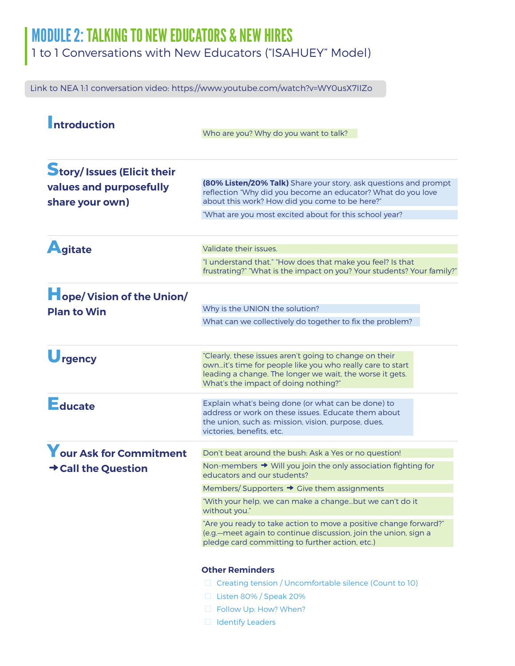## MODULE 2: TALKING TO NEW EDUCATORS & NEW HIRES

1 to 1 Conversations with New Educators ("ISAHUEY" Model)

Link to NEA 1:1 conversation video: https://www.youtube.com/watch?v=WY0usX7IIZo

| <b>Introduction</b>                          | Who are you? Why do you want to talk?                                                                                                                                                                                   |  |  |  |  |
|----------------------------------------------|-------------------------------------------------------------------------------------------------------------------------------------------------------------------------------------------------------------------------|--|--|--|--|
|                                              |                                                                                                                                                                                                                         |  |  |  |  |
| values and purposefully<br>share your own)   | (80% Listen/20% Talk) Share your story, ask questions and prompt<br>reflection "Why did you become an educator? What do you love<br>about this work? How did you come to be here?"                                      |  |  |  |  |
| <b>Story/Issues (Elicit their</b><br>Agitate | "What are you most excited about for this school year?                                                                                                                                                                  |  |  |  |  |
|                                              | Validate their issues.                                                                                                                                                                                                  |  |  |  |  |
|                                              | "I understand that." "How does that make you feel? Is that<br>frustrating?" "What is the impact on you? Your students? Your family?"                                                                                    |  |  |  |  |
| <b>Hope/ Vision of the Union/</b>            |                                                                                                                                                                                                                         |  |  |  |  |
| <b>Plan to Win</b>                           | Why is the UNION the solution?                                                                                                                                                                                          |  |  |  |  |
|                                              | What can we collectively do together to fix the problem?                                                                                                                                                                |  |  |  |  |
| Urgency                                      | "Clearly, these issues aren't going to change on their<br>ownit's time for people like you who really care to start<br>leading a change. The longer we wait, the worse it gets.<br>What's the impact of doing nothing?" |  |  |  |  |
| Educate                                      | Explain what's being done (or what can be done) to<br>address or work on these issues. Educate them about<br>the union, such as: mission, vision, purpose, dues,<br>victories, benefits, etc.                           |  |  |  |  |
| Your Ask for Commitment                      | Don't beat around the bush: Ask a Yes or no question!                                                                                                                                                                   |  |  |  |  |
| → Call the Question                          | Non-members → Will you join the only association fighting for<br>educators and our students?                                                                                                                            |  |  |  |  |
|                                              | Members/Supporters → Cive them assignments                                                                                                                                                                              |  |  |  |  |
|                                              | "With your help, we can make a changebut we can't do it<br>without you."                                                                                                                                                |  |  |  |  |
|                                              | "Are you ready to take action to move a positive change forward?"<br>(e.g. meet again to continue discussion, join the union, sign a<br>pledge card committing to further action, etc.)                                 |  |  |  |  |
|                                              | <b>Other Reminders</b>                                                                                                                                                                                                  |  |  |  |  |
|                                              | □ Creating tension / Uncomfortable silence (Count to 10)                                                                                                                                                                |  |  |  |  |
|                                              | $\Box$ Listen 80% / Speak 20%                                                                                                                                                                                           |  |  |  |  |
|                                              | Follow Up: How? When?                                                                                                                                                                                                   |  |  |  |  |
|                                              | dentify Leaders                                                                                                                                                                                                         |  |  |  |  |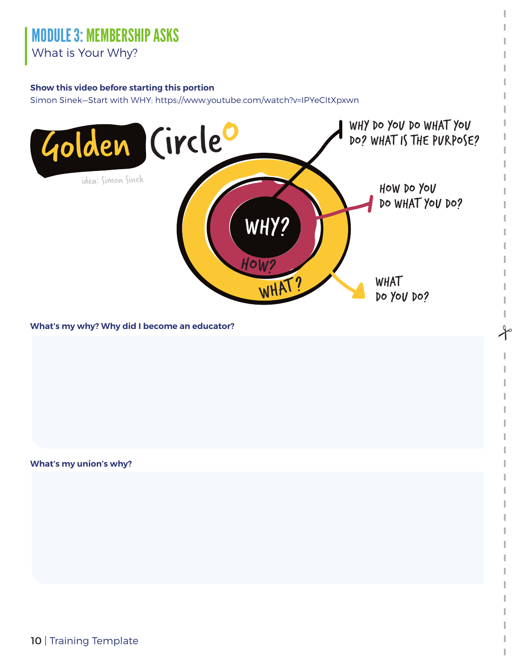#### **Show this video before starting this portion**

Simon Sinek—Start with WHY: https://www.youtube.com/watch?v=IPYeCltXpxwn



 $\lambda$ 

#### **What's my why? Why did I become an educator?**

**What's my union's why?**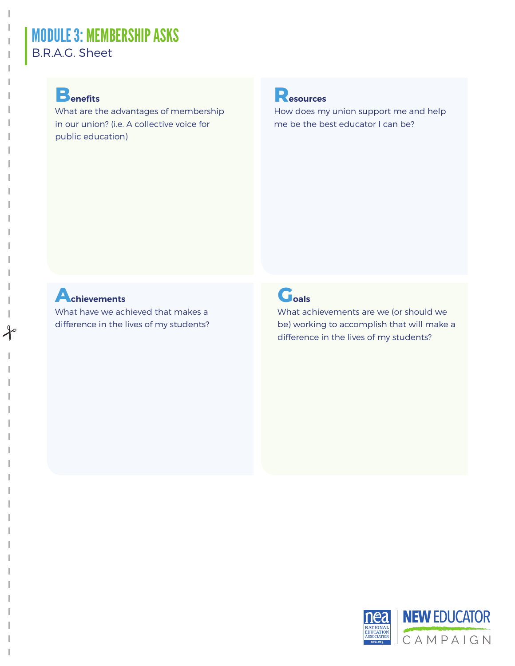## MODULE 3: MEMBERSHIP ASKS B.R.A.G. Sheet

What are the advantages of membership in our union? (i.e. A collective voice for public education)



How does my union support me and help me be the best educator I can be?

## **Achievements**

 $\int$ 

What have we achieved that makes a difference in the lives of my students?

## **Goals**

What achievements are we (or should we be) working to accomplish that will make a difference in the lives of my students?

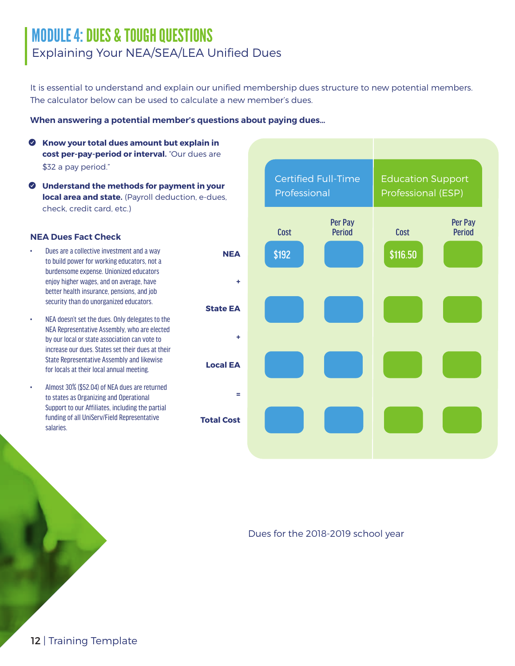## MODULE 4: DUES & TOUGH QUESTIONS Explaining Your NEA/SEA/LEA Unified Dues

It is essential to understand and explain our unified membership dues structure to new potential members. The calculator below can be used to calculate a new member's dues.

#### **When answering a potential member's questions about paying dues…**

- Y **Know your total dues amount but explain in cost per-pay-period or interval.** "Our dues are \$32 a pay period."
- Y **Understand the methods for payment in your local area and state.** (Payroll deduction, e-dues, check, credit card, etc.)

- Dues are a collective investment and a way to build power for working educators, not a burdensome expense. Unionized educators enjoy higher wages, and on average, have better health insurance, pensions, and job security than do unorganized educators.
- NEA doesn't set the dues. Only delegates to the NEA Representative Assembly, who are elected by our local or state association can vote to increase our dues. States set their dues at their State Representative Assembly and likewise for locals at their local annual meeting.
- Almost 30% (\$52.04) of NEA dues are returned to states as Organizing and Operational Support to our Affiliates, including the partial funding of all UniServ/Field Representative salaries.



#### Dues for the 2018-2019 school year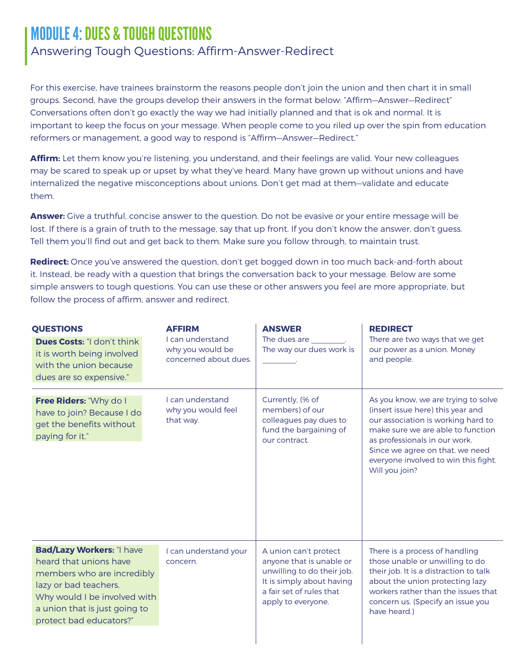## MODULE 4: DUES & TOUGH QUESTIONS

#### Answering Tough Questions: Affirm-Answer-Redirect

For this exercise, have trainees brainstorm the reasons people don't join the union and then chart it in small groups. Second, have the groups develop their answers in the format below: "Affirm—Answer—Redirect" Conversations often don't go exactly the way we had initially planned and that is ok and normal. It is important to keep the focus on your message. When people come to you riled up over the spin from education reformers or management, a good way to respond is "Affirm—Answer—Redirect."

**Affirm:** Let them know you're listening, you understand, and their feelings are valid. Your new colleagues may be scared to speak up or upset by what they've heard. Many have grown up without unions and have internalized the negative misconceptions about unions. Don't get mad at them—validate and educate them.

**Answer:** Give a truthful, concise answer to the question. Do not be evasive or your entire message will be lost. If there is a grain of truth to the message, say that up front. If you don't know the answer, don't guess. Tell them you'll find out and get back to them. Make sure you follow through, to maintain trust.

**Redirect:** Once you've answered the question, don't get bogged down in too much back-and-forth about it. Instead, be ready with a question that brings the conversation back to your message. Below are some simple answers to tough questions. You can use these or other answers you feel are more appropriate, but follow the process of affirm, answer and redirect.

| <b>QUESTIONS</b><br><b>Dues Costs: "I don't think</b><br>it is worth being involved<br>with the union because<br>dues are so expensive."                                                                      | <b>AFFIRM</b><br>I can understand<br>why you would be<br>concerned about dues. | <b>ANSWER</b><br>The dues are<br>The way our dues work is                                                                                                      | <b>REDIRECT</b><br>There are two ways that we get<br>our power as a union. Money<br>and people.                                                                                                                                                                                   |
|---------------------------------------------------------------------------------------------------------------------------------------------------------------------------------------------------------------|--------------------------------------------------------------------------------|----------------------------------------------------------------------------------------------------------------------------------------------------------------|-----------------------------------------------------------------------------------------------------------------------------------------------------------------------------------------------------------------------------------------------------------------------------------|
| Free Riders: "Why do I<br>have to join? Because I do<br>get the benefits without<br>paying for it."                                                                                                           | I can understand<br>why you would feel<br>that way.                            | Currently, (% of<br>members) of our<br>colleagues pay dues to<br>fund the bargaining of<br>our contract.                                                       | As you know, we are trying to solve<br>(insert issue here) this year and<br>our association is working hard to<br>make sure we are able to function<br>as professionals in our work.<br>Since we agree on that, we need<br>everyone involved to win this fight.<br>Will you join? |
| <b>Bad/Lazy Workers: "I have</b><br>heard that unions have<br>members who are incredibly<br>lazy or bad teachers.<br>Why would I be involved with<br>a union that is just going to<br>protect bad educators?" | I can understand your<br>concern.                                              | A union can't protect<br>anyone that is unable or<br>unwilling to do their job.<br>It is simply about having<br>a fair set of rules that<br>apply to everyone. | There is a process of handling<br>those unable or unwilling to do<br>their job. It is a distraction to talk<br>about the union protecting lazy<br>workers rather than the issues that<br>concern us. (Specify an issue you<br>have heard.)                                        |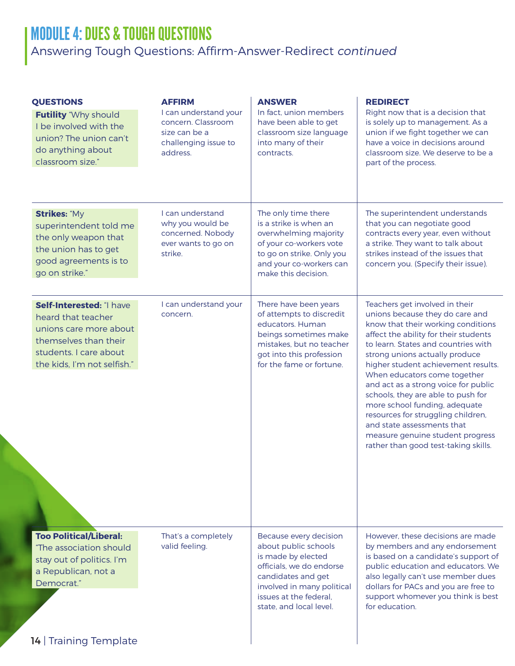## MODULE 4: DUES & TOUGH QUESTIONS

## Answering Tough Questions: Affirm-Answer-Redirect continued

| I can understand<br>The only time there<br>The superintendent understands<br><b>Strikes: "My</b><br>is a strike is when an<br>why you would be<br>that you can negotiate good<br>superintendent told me<br>concerned. Nobody<br>overwhelming majority<br>contracts every year, even without<br>the only weapon that<br>of your co-workers vote<br>a strike. They want to talk about<br>ever wants to go on<br>the union has to get<br>strikes instead of the issues that<br>strike.<br>to go on strike. Only you<br>good agreements is to<br>and your co-workers can<br>concern you. (Specify their issue).<br>go on strike."<br>make this decision.<br>I can understand your<br>There have been years<br>Teachers get involved in their<br>Self-Interested: "I have<br>of attempts to discredit<br>unions because they do care and<br>concern.<br>heard that teacher<br>educators. Human<br>unions care more about<br>beings sometimes make<br>themselves than their<br>mistakes, but no teacher<br>students. I care about<br>got into this profession<br>strong unions actually produce<br>the kids, I'm not selfish."<br>for the fame or fortune.<br>When educators come together<br>schools, they are able to push for<br>more school funding, adequate<br>resources for struggling children,<br>and state assessments that<br><b>Too Political/Liberal:</b><br>That's a completely<br>Because every decision<br>about public schools<br>valid feeling.<br>"The association should<br>is made by elected<br>stay out of politics. I'm<br>officials, we do endorse<br>a Republican, not a<br>candidates and get<br>Democrat."<br>involved in many political<br>issues at the federal.<br>state, and local level.<br>for education. | <b>QUESTIONS</b><br><b>Futility</b> "Why should<br>I be involved with the<br>union? The union can't<br>do anything about<br>classroom size." | <b>AFFIRM</b><br>I can understand your<br>concern. Classroom<br>size can be a<br>challenging issue to<br>address. | <b>ANSWER</b><br>In fact, union members<br>have been able to get<br>classroom size language<br>into many of their<br>contracts. | <b>REDIRECT</b><br>Right now that is a decision that<br>is solely up to management. As a<br>union if we fight together we can<br>have a voice in decisions around<br>classroom size. We deserve to be a<br>part of the process.                                               |
|---------------------------------------------------------------------------------------------------------------------------------------------------------------------------------------------------------------------------------------------------------------------------------------------------------------------------------------------------------------------------------------------------------------------------------------------------------------------------------------------------------------------------------------------------------------------------------------------------------------------------------------------------------------------------------------------------------------------------------------------------------------------------------------------------------------------------------------------------------------------------------------------------------------------------------------------------------------------------------------------------------------------------------------------------------------------------------------------------------------------------------------------------------------------------------------------------------------------------------------------------------------------------------------------------------------------------------------------------------------------------------------------------------------------------------------------------------------------------------------------------------------------------------------------------------------------------------------------------------------------------------------------------------------------------------------------------------------------------------------|----------------------------------------------------------------------------------------------------------------------------------------------|-------------------------------------------------------------------------------------------------------------------|---------------------------------------------------------------------------------------------------------------------------------|-------------------------------------------------------------------------------------------------------------------------------------------------------------------------------------------------------------------------------------------------------------------------------|
|                                                                                                                                                                                                                                                                                                                                                                                                                                                                                                                                                                                                                                                                                                                                                                                                                                                                                                                                                                                                                                                                                                                                                                                                                                                                                                                                                                                                                                                                                                                                                                                                                                                                                                                                       |                                                                                                                                              |                                                                                                                   |                                                                                                                                 |                                                                                                                                                                                                                                                                               |
|                                                                                                                                                                                                                                                                                                                                                                                                                                                                                                                                                                                                                                                                                                                                                                                                                                                                                                                                                                                                                                                                                                                                                                                                                                                                                                                                                                                                                                                                                                                                                                                                                                                                                                                                       |                                                                                                                                              |                                                                                                                   |                                                                                                                                 | know that their working conditions<br>affect the ability for their students<br>to learn. States and countries with<br>higher student achievement results.<br>and act as a strong voice for public<br>measure genuine student progress<br>rather than good test-taking skills. |
| 14   Training Template                                                                                                                                                                                                                                                                                                                                                                                                                                                                                                                                                                                                                                                                                                                                                                                                                                                                                                                                                                                                                                                                                                                                                                                                                                                                                                                                                                                                                                                                                                                                                                                                                                                                                                                |                                                                                                                                              |                                                                                                                   |                                                                                                                                 | However, these decisions are made<br>by members and any endorsement<br>is based on a candidate's support of<br>public education and educators. We<br>also legally can't use member dues<br>dollars for PACs and you are free to<br>support whomever you think is best         |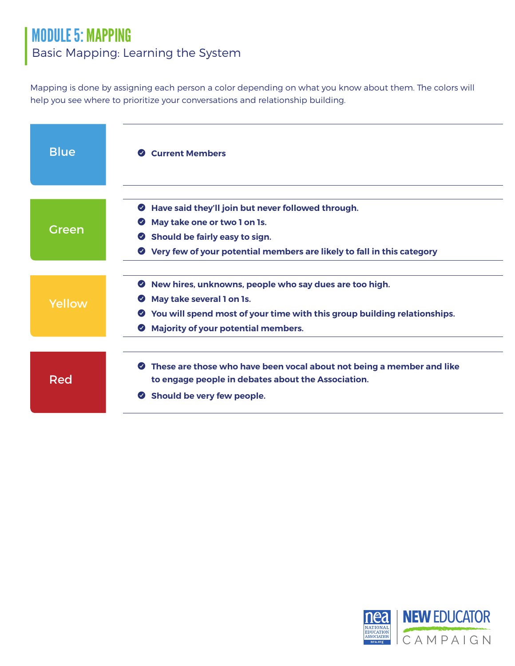## MODULE 5: MAPPING Basic Mapping: Learning the System

Mapping is done by assigning each person a color depending on what you know about them. The colors will help you see where to prioritize your conversations and relationship building.

| <b>Blue</b> | <b>Current Members</b><br>$\bullet$                                                                                                                                                                                                                               |
|-------------|-------------------------------------------------------------------------------------------------------------------------------------------------------------------------------------------------------------------------------------------------------------------|
| Green       | Have said they'll join but never followed through.<br>May take one or two 1 on 1s.<br>$\bullet$<br>Should be fairly easy to sign.<br>$\bullet$                                                                                                                    |
|             | Very few of your potential members are likely to fall in this category<br>$\bullet$                                                                                                                                                                               |
| Yellow      | New hires, unknowns, people who say dues are too high.<br>$\bullet$<br>May take several 1 on 1s.<br>$\bullet$<br>You will spend most of your time with this group building relationships.<br>$\bullet$<br><b>Majority of your potential members.</b><br>$\bullet$ |
| Red         | These are those who have been vocal about not being a member and like<br>$\bullet$<br>to engage people in debates about the Association.<br>Should be very few people.<br>$\bullet$                                                                               |

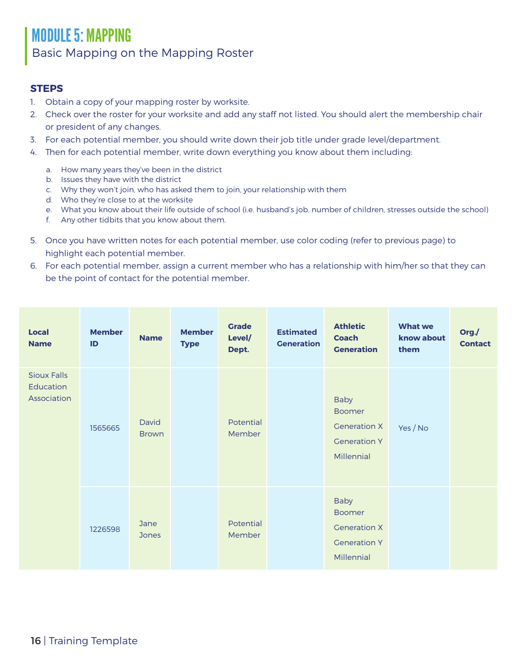## MODULE 5: MAPPING Basic Mapping on the Mapping Roster

#### **STEPS**

- 1. Obtain a copy of your mapping roster by worksite.
- 2. Check over the roster for your worksite and add any staff not listed. You should alert the membership chair or president of any changes.
- 3. For each potential member, you should write down their job title under grade level/department.
- 4. Then for each potential member, write down everything you know about them including:
	- a. How many years they've been in the district
	- b. Issues they have with the district
	- c. Why they won't join, who has asked them to join, your relationship with them
	- d. Who they're close to at the worksite
	- e. What you know about their life outside of school (i.e. husband's job, number of children, stresses outside the school)
	- f. Any other tidbits that you know about them.
- 5. Once you have written notes for each potential member, use color coding (refer to previous page) to highlight each potential member.
- 6. For each potential member, assign a current member who has a relationship with him/her so that they can be the point of contact for the potential member.

| <b>Local</b><br><b>Name</b>                    | <b>Member</b><br>ID | <b>Name</b>           | <b>Member</b><br><b>Type</b> | <b>Grade</b><br>Level/<br>Dept. | <b>Estimated</b><br><b>Generation</b> | <b>Athletic</b><br><b>Coach</b><br><b>Generation</b>                                     | <b>What we</b><br>know about<br>them | Org./<br><b>Contact</b> |  |
|------------------------------------------------|---------------------|-----------------------|------------------------------|---------------------------------|---------------------------------------|------------------------------------------------------------------------------------------|--------------------------------------|-------------------------|--|
| <b>Sioux Falls</b><br>Education<br>Association | 1565665             | David<br><b>Brown</b> |                              | Potential<br>Member             |                                       | <b>Baby</b><br><b>Boomer</b><br><b>Generation X</b><br><b>Generation Y</b><br>Millennial | Yes / No                             |                         |  |
|                                                | 1226598             | Jane<br><b>Jones</b>  |                              | Potential<br>Member             |                                       | <b>Baby</b><br><b>Boomer</b><br><b>Generation X</b><br><b>Generation Y</b><br>Millennial |                                      |                         |  |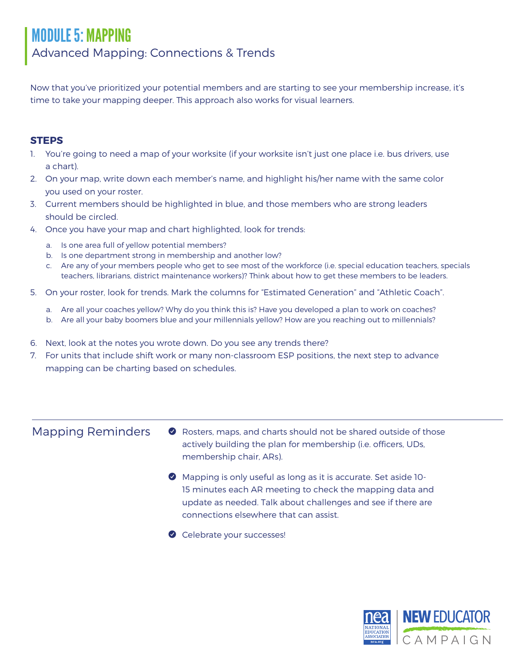## MODULE 5: MAPPING Advanced Mapping: Connections & Trends

Now that you've prioritized your potential members and are starting to see your membership increase, it's time to take your mapping deeper. This approach also works for visual learners.

#### **STEPS**

- 1. You're going to need a map of your worksite (if your worksite isn't just one place i.e. bus drivers, use a chart).
- 2. On your map, write down each member's name, and highlight his/her name with the same color you used on your roster.
- 3. Current members should be highlighted in blue, and those members who are strong leaders should be circled.
- 4. Once you have your map and chart highlighted, look for trends:
	- a. Is one area full of yellow potential members?
	- b. Is one department strong in membership and another low?
	- c. Are any of your members people who get to see most of the workforce (i.e. special education teachers, specials teachers, librarians, district maintenance workers)? Think about how to get these members to be leaders.
- 5. On your roster, look for trends. Mark the columns for "Estimated Generation" and "Athletic Coach".
	- a. Are all your coaches yellow? Why do you think this is? Have you developed a plan to work on coaches?
	- b. Are all your baby boomers blue and your millennials yellow? How are you reaching out to millennials?
- 6. Next, look at the notes you wrote down. Do you see any trends there?
- 7. For units that include shift work or many non-classroom ESP positions, the next step to advance mapping can be charting based on schedules.

#### Mapping Reminders

- Y Rosters, maps, and charts should not be shared outside of those actively building the plan for membership (i.e. officers, UDs, membership chair, ARs).
- Y Mapping is only useful as long as it is accurate. Set aside 10- 15 minutes each AR meeting to check the mapping data and update as needed. Talk about challenges and see if there are connections elsewhere that can assist.
- Celebrate your successes!

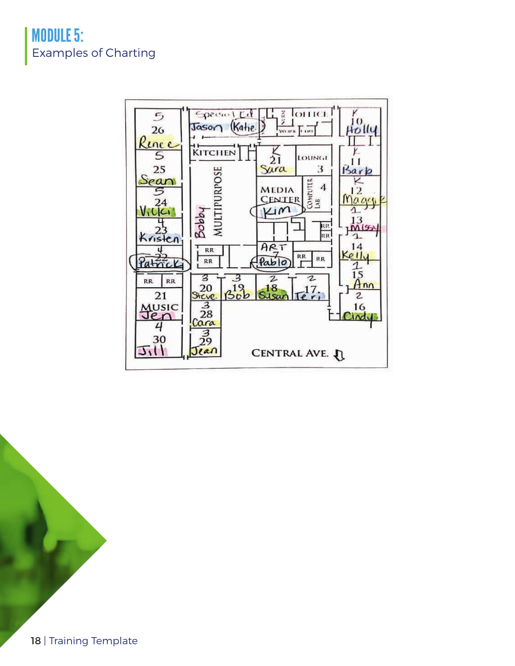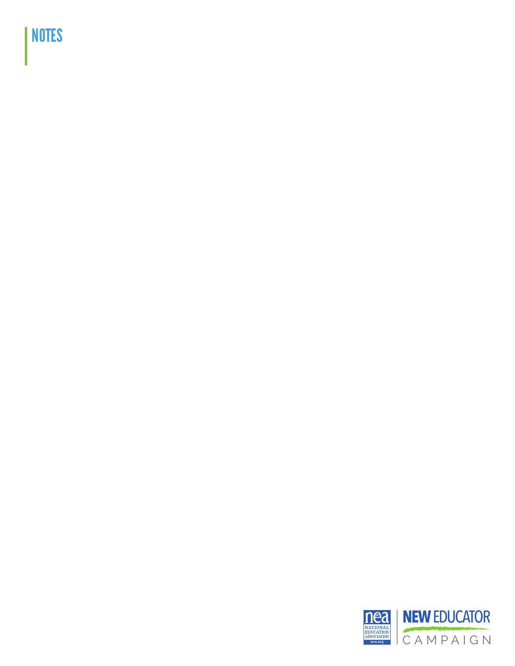# NOTES